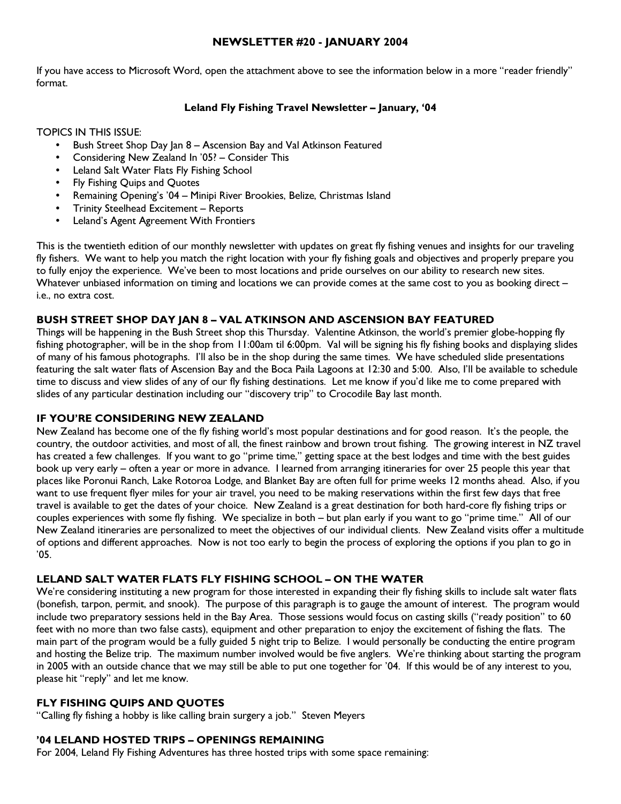## NEWSLETTER #20 - JANUARY 2004

If you have access to Microsoft Word, open the attachment above to see the information below in a more "reader friendly" format.

# Leland Fly Fishing Travel Newsletter – January, '04

TOPICS IN THIS ISSUE:

- Bush Street Shop Day Jan 8 Ascension Bay and Val Atkinson Featured
- Considering New Zealand In '05? Consider This
- Leland Salt Water Flats Fly Fishing School
- Fly Fishing Quips and Quotes
- Remaining Opening's '04 Minipi River Brookies, Belize, Christmas Island
- Trinity Steelhead Excitement Reports
- Leland's Agent Agreement With Frontiers

This is the twentieth edition of our monthly newsletter with updates on great fly fishing venues and insights for our traveling fly fishers. We want to help you match the right location with your fly fishing goals and objectives and properly prepare you to fully enjoy the experience. We've been to most locations and pride ourselves on our ability to research new sites. Whatever unbiased information on timing and locations we can provide comes at the same cost to you as booking direct – i.e., no extra cost.

# BUSH STREET SHOP DAY JAN 8 – VAL ATKINSON AND ASCENSION BAY FEATURED

Things will be happening in the Bush Street shop this Thursday. Valentine Atkinson, the world's premier globe-hopping fly fishing photographer, will be in the shop from 11:00am til 6:00pm. Val will be signing his fly fishing books and displaying slides of many of his famous photographs. I'll also be in the shop during the same times. We have scheduled slide presentations featuring the salt water flats of Ascension Bay and the Boca Paila Lagoons at 12:30 and 5:00. Also, I'll be available to schedule time to discuss and view slides of any of our fly fishing destinations. Let me know if you'd like me to come prepared with slides of any particular destination including our "discovery trip" to Crocodile Bay last month.

#### IF YOU'RE CONSIDERING NEW ZEALAND

New Zealand has become one of the fly fishing world's most popular destinations and for good reason. It's the people, the country, the outdoor activities, and most of all, the finest rainbow and brown trout fishing. The growing interest in NZ travel has created a few challenges. If you want to go "prime time," getting space at the best lodges and time with the best guides book up very early – often a year or more in advance. I learned from arranging itineraries for over 25 people this year that places like Poronui Ranch, Lake Rotoroa Lodge, and Blanket Bay are often full for prime weeks 12 months ahead. Also, if you want to use frequent flyer miles for your air travel, you need to be making reservations within the first few days that free travel is available to get the dates of your choice. New Zealand is a great destination for both hard-core fly fishing trips or couples experiences with some fly fishing. We specialize in both – but plan early if you want to go "prime time." All of our New Zealand itineraries are personalized to meet the objectives of our individual clients. New Zealand visits offer a multitude of options and different approaches. Now is not too early to begin the process of exploring the options if you plan to go in '05.

#### LELAND SALT WATER FLATS FLY FISHING SCHOOL – ON THE WATER

We're considering instituting a new program for those interested in expanding their fly fishing skills to include salt water flats (bonefish, tarpon, permit, and snook). The purpose of this paragraph is to gauge the amount of interest. The program would include two preparatory sessions held in the Bay Area. Those sessions would focus on casting skills ("ready position" to 60 feet with no more than two false casts), equipment and other preparation to enjoy the excitement of fishing the flats. The main part of the program would be a fully guided 5 night trip to Belize. I would personally be conducting the entire program and hosting the Belize trip. The maximum number involved would be five anglers. We're thinking about starting the program in 2005 with an outside chance that we may still be able to put one together for '04. If this would be of any interest to you, please hit "reply" and let me know.

#### FLY FISHING QUIPS AND QUOTES

"Calling fly fishing a hobby is like calling brain surgery a job." Steven Meyers

#### '04 LELAND HOSTED TRIPS – OPENINGS REMAINING

For 2004, Leland Fly Fishing Adventures has three hosted trips with some space remaining: